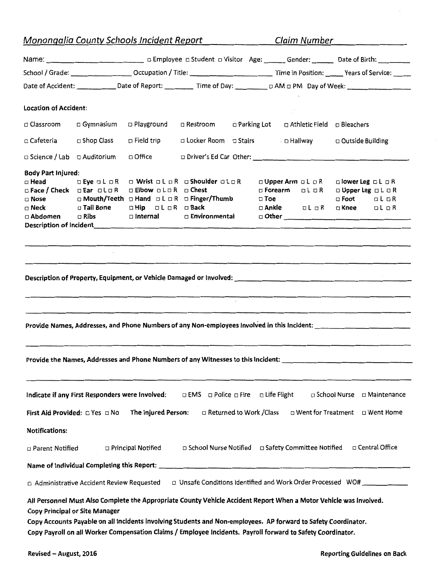| Monongalia County Schools Incident Report |                                                                                    |                                                                                                                                                                                                                                                                                                                                                     |                                     |                                  |                                                 | Claim Number                                                |                                                                  |                              |  |
|-------------------------------------------|------------------------------------------------------------------------------------|-----------------------------------------------------------------------------------------------------------------------------------------------------------------------------------------------------------------------------------------------------------------------------------------------------------------------------------------------------|-------------------------------------|----------------------------------|-------------------------------------------------|-------------------------------------------------------------|------------------------------------------------------------------|------------------------------|--|
|                                           | Name: 1990 Complete a Student a Visitor Age: 1990 Gender: 2000 Date of Birth: 2000 |                                                                                                                                                                                                                                                                                                                                                     |                                     |                                  |                                                 |                                                             |                                                                  |                              |  |
|                                           |                                                                                    |                                                                                                                                                                                                                                                                                                                                                     |                                     |                                  |                                                 |                                                             |                                                                  |                              |  |
|                                           |                                                                                    |                                                                                                                                                                                                                                                                                                                                                     |                                     |                                  |                                                 |                                                             |                                                                  |                              |  |
| <b>Location of Accident:</b>              |                                                                                    |                                                                                                                                                                                                                                                                                                                                                     |                                     |                                  |                                                 |                                                             |                                                                  |                              |  |
| □ Classroom                               | □ Gymnasium                                                                        | □ Playground                                                                                                                                                                                                                                                                                                                                        | □ Restroom                          |                                  | □ Parking Lot<br>□ Athletic Field □ Bleachers   |                                                             |                                                                  |                              |  |
| □ Cafeteria                               | □ Shop Class<br>$\Box$ Field trip                                                  |                                                                                                                                                                                                                                                                                                                                                     |                                     | □ Locker Room □ Stairs □ Hallway |                                                 | □ Outside Building                                          |                                                                  |                              |  |
|                                           |                                                                                    |                                                                                                                                                                                                                                                                                                                                                     |                                     |                                  |                                                 |                                                             |                                                                  |                              |  |
| □ Science / Lab                           | □ Auditorium                                                                       | □ Office                                                                                                                                                                                                                                                                                                                                            |                                     |                                  |                                                 |                                                             |                                                                  |                              |  |
| <b>Body Part Injured:</b>                 |                                                                                    |                                                                                                                                                                                                                                                                                                                                                     |                                     |                                  |                                                 |                                                             |                                                                  |                              |  |
| □ Head                                    | $\Box$ Eye $\Box$ L $\Box$ R                                                       |                                                                                                                                                                                                                                                                                                                                                     | □ Wrist □ L □ R □ Shoulder □ L□ R   |                                  | <b>□ Upper Arm □ L □ R</b><br>□ Forearm □ L □ R |                                                             | $\square$ lower Leg $\square L \square R$<br>□ Upper Leg □ L □ R |                              |  |
| $\Box$ Nose                               | $\Box$ Face / Check $\Box$ Ear $\Box$ L $\Box$ R                                   | <b>DEIbow DLOR OChest</b><br>□ Mouth/Teeth □ Hand □ L □ R □ Finger/Thumb                                                                                                                                                                                                                                                                            |                                     |                                  | $\square$ Toe                                   |                                                             | $\Box$ Foot $\Box$ L $\Box$ R                                    |                              |  |
| $\Box$ Neck                               | □ Tail Bone                                                                        | oHip oLoR oBack                                                                                                                                                                                                                                                                                                                                     |                                     |                                  | $\square$ Ankle                                 | ol o R                                                      | $\square$ Knee                                                   | CL <b>CR</b>                 |  |
| $\Box$ Abdomen                            | $\Box$ Ribs                                                                        | □ Internal □ Environmental                                                                                                                                                                                                                                                                                                                          |                                     |                                  |                                                 |                                                             |                                                                  |                              |  |
|                                           |                                                                                    |                                                                                                                                                                                                                                                                                                                                                     |                                     |                                  |                                                 |                                                             |                                                                  |                              |  |
|                                           |                                                                                    |                                                                                                                                                                                                                                                                                                                                                     |                                     |                                  |                                                 |                                                             |                                                                  |                              |  |
|                                           |                                                                                    |                                                                                                                                                                                                                                                                                                                                                     |                                     |                                  |                                                 |                                                             |                                                                  |                              |  |
|                                           |                                                                                    | Provide Names, Addresses, and Phone Numbers of any Non-employees Involved in this Incident:                                                                                                                                                                                                                                                         |                                     |                                  |                                                 |                                                             |                                                                  |                              |  |
|                                           |                                                                                    | Provide the Names, Addresses and Phone Numbers of any Witnesses to this Incident:                                                                                                                                                                                                                                                                   |                                     |                                  |                                                 |                                                             |                                                                  |                              |  |
|                                           |                                                                                    | Indicate if any First Responders were Involved:                                                                                                                                                                                                                                                                                                     | □ EMS □ Police □ Fire □ Life Flight |                                  |                                                 |                                                             |                                                                  | □ School Nurse □ Maintenance |  |
|                                           | First Aid Provided: D Yes D No                                                     | The Injured Person:                                                                                                                                                                                                                                                                                                                                 |                                     | □ Returned to Work /Class        |                                                 | □ Went for Treatment □ Went Home                            |                                                                  |                              |  |
| <b>Notifications:</b>                     |                                                                                    |                                                                                                                                                                                                                                                                                                                                                     |                                     |                                  |                                                 |                                                             |                                                                  |                              |  |
| □ Parent Notified                         |                                                                                    | <b>D</b> Principal Notified                                                                                                                                                                                                                                                                                                                         |                                     |                                  |                                                 | □ School Nurse Notified □ Safety Committee Notified         |                                                                  | □ Central Office             |  |
|                                           |                                                                                    |                                                                                                                                                                                                                                                                                                                                                     |                                     |                                  |                                                 |                                                             |                                                                  |                              |  |
|                                           | □ Administrative Accident Review Requested                                         |                                                                                                                                                                                                                                                                                                                                                     |                                     |                                  |                                                 | □ Unsafe Conditions Identified and Work Order Processed WO# |                                                                  |                              |  |
|                                           |                                                                                    |                                                                                                                                                                                                                                                                                                                                                     |                                     |                                  |                                                 |                                                             |                                                                  |                              |  |
|                                           | <b>Copy Principal or Site Manager</b>                                              | All Personnel Must Also Complete the Appropriate County Vehicle Accident Report When a Motor Vehicle was Involved.<br>Copy Accounts Payable on all Incidents involving Students and Non-employees. AP forward to Safety Coordinator.<br>Copy Payroll on all Worker Compensation Claims / Employee Incidents. Payroll forward to Safety Coordinator. |                                     |                                  |                                                 |                                                             |                                                                  |                              |  |

 $\overline{\phantom{a}}$